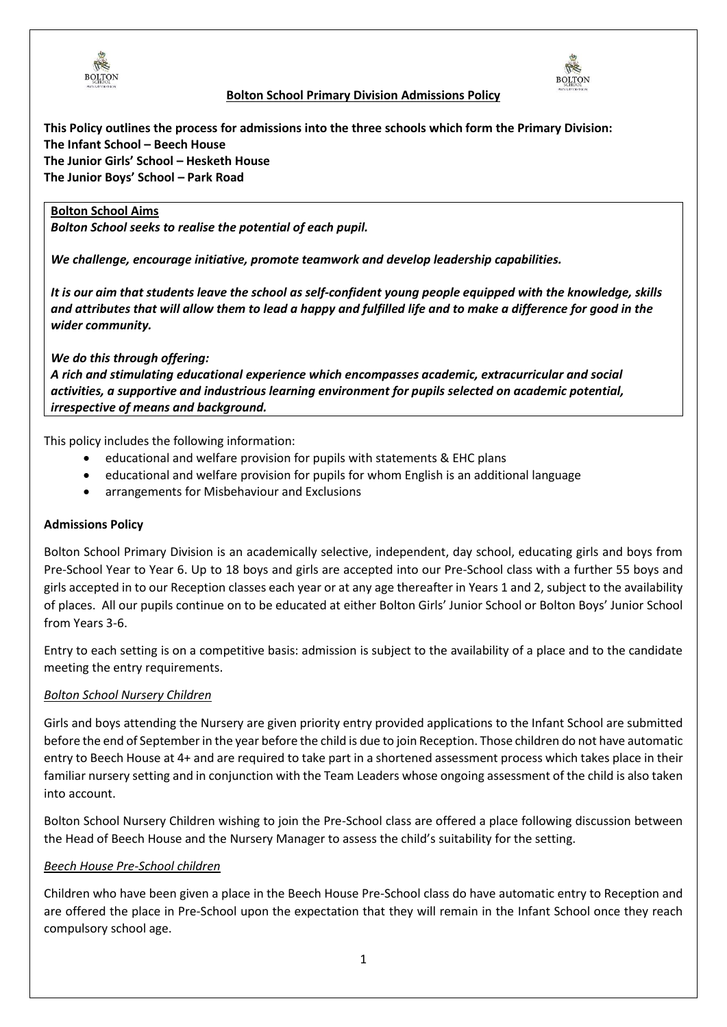



#### **Bolton School Primary Division Admissions Policy**

**This Policy outlines the process for admissions into the three schools which form the Primary Division: The Infant School – Beech House The Junior Girls' School – Hesketh House The Junior Boys' School – Park Road** 

#### **Bolton School Aims**

*Bolton School seeks to realise the potential of each pupil.* 

*We challenge, encourage initiative, promote teamwork and develop leadership capabilities.* 

*It is our aim that students leave the school as self-confident young people equipped with the knowledge, skills and attributes that will allow them to lead a happy and fulfilled life and to make a difference for good in the wider community.*

#### *We do this through offering:*

*A rich and stimulating educational experience which encompasses academic, extracurricular and social activities, a supportive and industrious learning environment for pupils selected on academic potential, irrespective of means and background.*

This policy includes the following information:

- educational and welfare provision for pupils with statements & EHC plans
- educational and welfare provision for pupils for whom English is an additional language
- arrangements for Misbehaviour and Exclusions

#### **Admissions Policy**

Bolton School Primary Division is an academically selective, independent, day school, educating girls and boys from Pre-School Year to Year 6. Up to 18 boys and girls are accepted into our Pre-School class with a further 55 boys and girls accepted in to our Reception classes each year or at any age thereafter in Years 1 and 2, subject to the availability of places. All our pupils continue on to be educated at either Bolton Girls' Junior School or Bolton Boys' Junior School from Years 3-6.

Entry to each setting is on a competitive basis: admission is subject to the availability of a place and to the candidate meeting the entry requirements.

#### *Bolton School Nursery Children*

Girls and boys attending the Nursery are given priority entry provided applications to the Infant School are submitted before the end of September in the year before the child is due to join Reception. Those children do not have automatic entry to Beech House at 4+ and are required to take part in a shortened assessment process which takes place in their familiar nursery setting and in conjunction with the Team Leaders whose ongoing assessment of the child is also taken into account.

Bolton School Nursery Children wishing to join the Pre-School class are offered a place following discussion between the Head of Beech House and the Nursery Manager to assess the child's suitability for the setting.

#### *Beech House Pre-School children*

Children who have been given a place in the Beech House Pre-School class do have automatic entry to Reception and are offered the place in Pre-School upon the expectation that they will remain in the Infant School once they reach compulsory school age.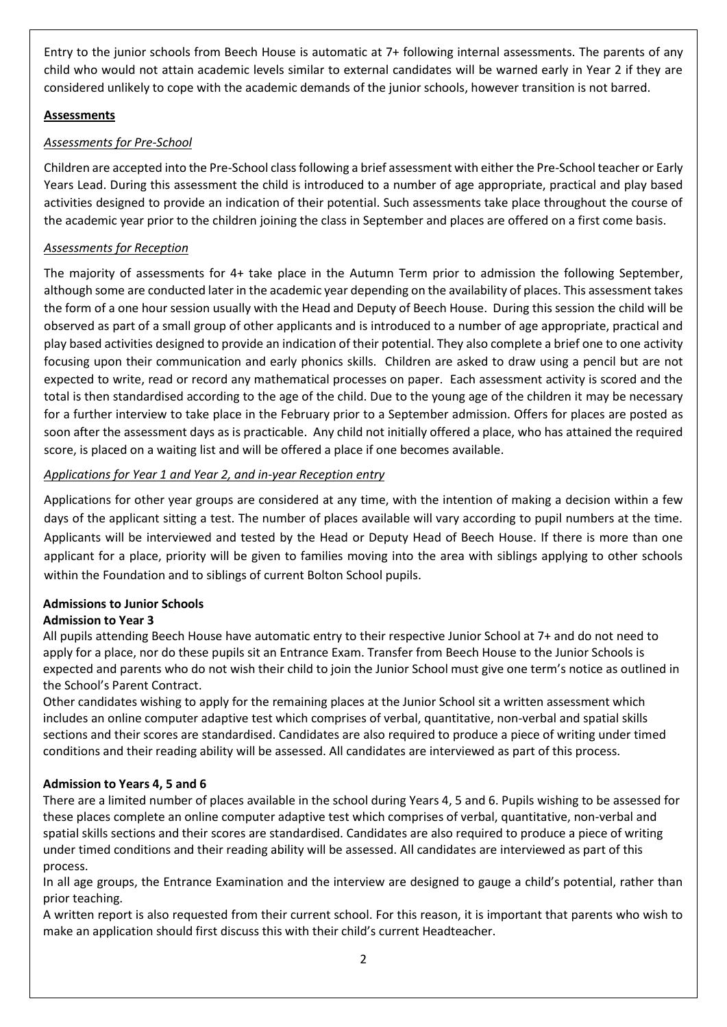Entry to the junior schools from Beech House is automatic at 7+ following internal assessments. The parents of any child who would not attain academic levels similar to external candidates will be warned early in Year 2 if they are considered unlikely to cope with the academic demands of the junior schools, however transition is not barred.

### **Assessments**

## *Assessments for Pre-School*

Children are accepted into the Pre-School class following a brief assessment with either the Pre-School teacher or Early Years Lead. During this assessment the child is introduced to a number of age appropriate, practical and play based activities designed to provide an indication of their potential. Such assessments take place throughout the course of the academic year prior to the children joining the class in September and places are offered on a first come basis.

## *Assessments for Reception*

The majority of assessments for 4+ take place in the Autumn Term prior to admission the following September, although some are conducted later in the academic year depending on the availability of places. This assessment takes the form of a one hour session usually with the Head and Deputy of Beech House. During this session the child will be observed as part of a small group of other applicants and is introduced to a number of age appropriate, practical and play based activities designed to provide an indication of their potential. They also complete a brief one to one activity focusing upon their communication and early phonics skills. Children are asked to draw using a pencil but are not expected to write, read or record any mathematical processes on paper. Each assessment activity is scored and the total is then standardised according to the age of the child. Due to the young age of the children it may be necessary for a further interview to take place in the February prior to a September admission. Offers for places are posted as soon after the assessment days as is practicable. Any child not initially offered a place, who has attained the required score, is placed on a waiting list and will be offered a place if one becomes available.

## *Applications for Year 1 and Year 2, and in-year Reception entry*

Applications for other year groups are considered at any time, with the intention of making a decision within a few days of the applicant sitting a test. The number of places available will vary according to pupil numbers at the time. Applicants will be interviewed and tested by the Head or Deputy Head of Beech House. If there is more than one applicant for a place, priority will be given to families moving into the area with siblings applying to other schools within the Foundation and to siblings of current Bolton School pupils.

# **Admissions to Junior Schools**

## **Admission to Year 3**

All pupils attending Beech House have automatic entry to their respective Junior School at 7+ and do not need to apply for a place, nor do these pupils sit an Entrance Exam. Transfer from Beech House to the Junior Schools is expected and parents who do not wish their child to join the Junior School must give one term's notice as outlined in the School's Parent Contract.

Other candidates wishing to apply for the remaining places at the Junior School sit a written assessment which includes an online computer adaptive test which comprises of verbal, quantitative, non-verbal and spatial skills sections and their scores are standardised. Candidates are also required to produce a piece of writing under timed conditions and their reading ability will be assessed. All candidates are interviewed as part of this process.

## **Admission to Years 4, 5 and 6**

There are a limited number of places available in the school during Years 4, 5 and 6. Pupils wishing to be assessed for these places complete an online computer adaptive test which comprises of verbal, quantitative, non-verbal and spatial skills sections and their scores are standardised. Candidates are also required to produce a piece of writing under timed conditions and their reading ability will be assessed. All candidates are interviewed as part of this process.

In all age groups, the Entrance Examination and the interview are designed to gauge a child's potential, rather than prior teaching.

A written report is also requested from their current school. For this reason, it is important that parents who wish to make an application should first discuss this with their child's current Headteacher.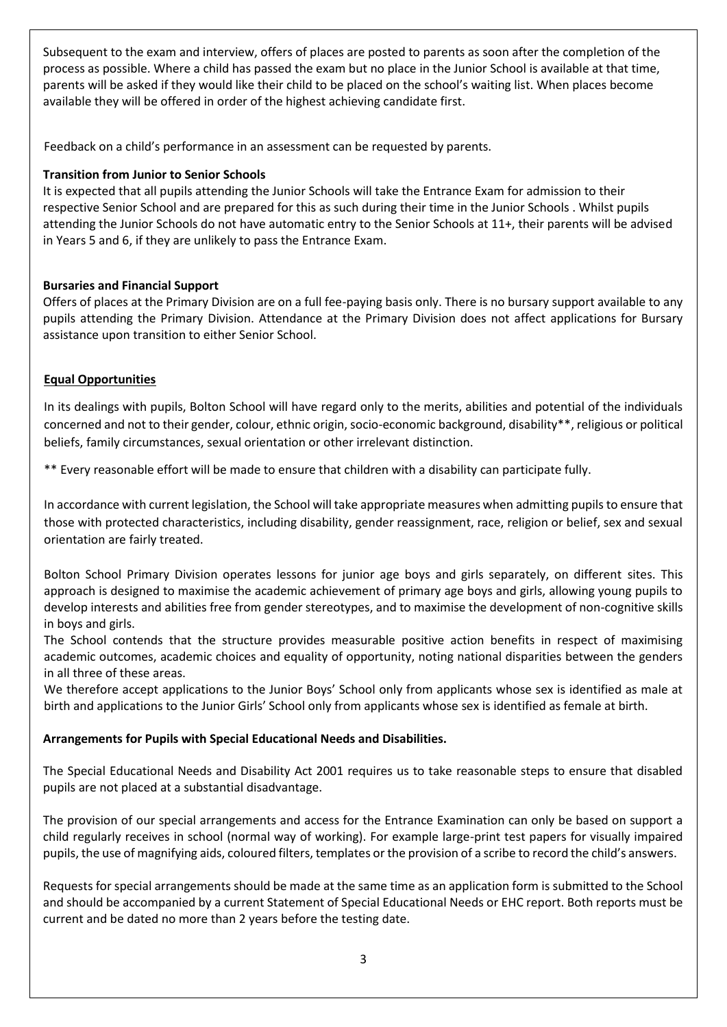Subsequent to the exam and interview, offers of places are posted to parents as soon after the completion of the process as possible. Where a child has passed the exam but no place in the Junior School is available at that time, parents will be asked if they would like their child to be placed on the school's waiting list. When places become available they will be offered in order of the highest achieving candidate first.

Feedback on a child's performance in an assessment can be requested by parents.

### **Transition from Junior to Senior Schools**

It is expected that all pupils attending the Junior Schools will take the Entrance Exam for admission to their respective Senior School and are prepared for this as such during their time in the Junior Schools . Whilst pupils attending the Junior Schools do not have automatic entry to the Senior Schools at 11+, their parents will be advised in Years 5 and 6, if they are unlikely to pass the Entrance Exam.

### **Bursaries and Financial Support**

Offers of places at the Primary Division are on a full fee-paying basis only. There is no bursary support available to any pupils attending the Primary Division. Attendance at the Primary Division does not affect applications for Bursary assistance upon transition to either Senior School.

### **Equal Opportunities**

In its dealings with pupils, Bolton School will have regard only to the merits, abilities and potential of the individuals concerned and not to their gender, colour, ethnic origin, socio-economic background, disability\*\*, religious or political beliefs, family circumstances, sexual orientation or other irrelevant distinction.

\*\* Every reasonable effort will be made to ensure that children with a disability can participate fully.

In accordance with current legislation, the School will take appropriate measures when admitting pupils to ensure that those with protected characteristics, including disability, gender reassignment, race, religion or belief, sex and sexual orientation are fairly treated.

Bolton School Primary Division operates lessons for junior age boys and girls separately, on different sites. This approach is designed to maximise the academic achievement of primary age boys and girls, allowing young pupils to develop interests and abilities free from gender stereotypes, and to maximise the development of non-cognitive skills in boys and girls.

The School contends that the structure provides measurable positive action benefits in respect of maximising academic outcomes, academic choices and equality of opportunity, noting national disparities between the genders in all three of these areas.

We therefore accept applications to the Junior Boys' School only from applicants whose sex is identified as male at birth and applications to the Junior Girls' School only from applicants whose sex is identified as female at birth.

### **Arrangements for Pupils with Special Educational Needs and Disabilities.**

The Special Educational Needs and Disability Act 2001 requires us to take reasonable steps to ensure that disabled pupils are not placed at a substantial disadvantage.

The provision of our special arrangements and access for the Entrance Examination can only be based on support a child regularly receives in school (normal way of working). For example large-print test papers for visually impaired pupils, the use of magnifying aids, coloured filters, templates or the provision of a scribe to record the child's answers.

Requests for special arrangements should be made at the same time as an application form is submitted to the School and should be accompanied by a current Statement of Special Educational Needs or EHC report. Both reports must be current and be dated no more than 2 years before the testing date.